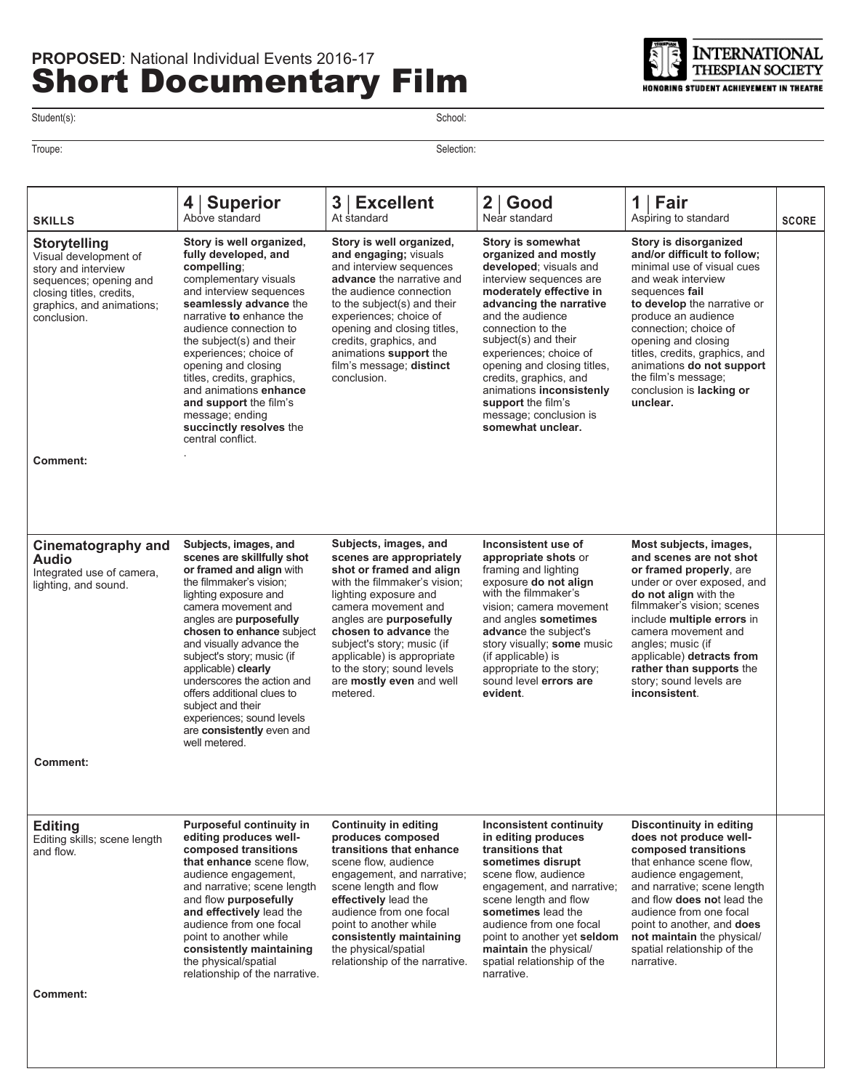

Student(s): School: Student(s):

Troupe: Selection:

| <b>SKILLS</b>                                                                                                                                                         | <b>Superior</b><br>4<br>Above standard                                                                                                                                                                                                                                                                                                                                                                                                                          | 3 <br><b>Excellent</b><br>At standard                                                                                                                                                                                                                                                                                                               | 2 <sup>1</sup><br>Good<br>Near standard                                                                                                                                                                                                                                                                                                                                                                   | 1<br>Fair<br>Aspiring to standard                                                                                                                                                                                                                                                                                                                              | <b>SCORE</b> |
|-----------------------------------------------------------------------------------------------------------------------------------------------------------------------|-----------------------------------------------------------------------------------------------------------------------------------------------------------------------------------------------------------------------------------------------------------------------------------------------------------------------------------------------------------------------------------------------------------------------------------------------------------------|-----------------------------------------------------------------------------------------------------------------------------------------------------------------------------------------------------------------------------------------------------------------------------------------------------------------------------------------------------|-----------------------------------------------------------------------------------------------------------------------------------------------------------------------------------------------------------------------------------------------------------------------------------------------------------------------------------------------------------------------------------------------------------|----------------------------------------------------------------------------------------------------------------------------------------------------------------------------------------------------------------------------------------------------------------------------------------------------------------------------------------------------------------|--------------|
| <b>Storytelling</b><br>Visual development of<br>story and interview<br>sequences; opening and<br>closing titles, credits,<br>graphics, and animations;<br>conclusion. | Story is well organized,<br>fully developed, and<br>compelling;<br>complementary visuals<br>and interview sequences<br>seamlessly advance the<br>narrative to enhance the<br>audience connection to<br>the subject(s) and their<br>experiences; choice of<br>opening and closing<br>titles, credits, graphics,<br>and animations enhance<br>and support the film's<br>message; ending<br>succinctly resolves the<br>central conflict.                           | Story is well organized,<br>and engaging; visuals<br>and interview sequences<br>advance the narrative and<br>the audience connection<br>to the subject(s) and their<br>experiences; choice of<br>opening and closing titles,<br>credits, graphics, and<br>animations support the<br>film's message; distinct<br>conclusion.                         | Story is somewhat<br>organized and mostly<br>developed; visuals and<br>interview sequences are<br>moderately effective in<br>advancing the narrative<br>and the audience<br>connection to the<br>subject(s) and their<br>experiences; choice of<br>opening and closing titles.<br>credits, graphics, and<br>animations inconsistenly<br>support the film's<br>message; conclusion is<br>somewhat unclear. | Story is disorganized<br>and/or difficult to follow;<br>minimal use of visual cues<br>and weak interview<br>sequences fail<br>to develop the narrative or<br>produce an audience<br>connection; choice of<br>opening and closing<br>titles, credits, graphics, and<br>animations do not support<br>the film's message;<br>conclusion is lacking or<br>unclear. |              |
| Comment:                                                                                                                                                              |                                                                                                                                                                                                                                                                                                                                                                                                                                                                 |                                                                                                                                                                                                                                                                                                                                                     |                                                                                                                                                                                                                                                                                                                                                                                                           |                                                                                                                                                                                                                                                                                                                                                                |              |
| Cinematography and<br><b>Audio</b><br>Integrated use of camera,<br>lighting, and sound.<br><b>Comment:</b>                                                            | Subjects, images, and<br>scenes are skillfully shot<br>or framed and align with<br>the filmmaker's vision;<br>lighting exposure and<br>camera movement and<br>angles are purposefully<br>chosen to enhance subject<br>and visually advance the<br>subject's story; music (if<br>applicable) clearly<br>underscores the action and<br>offers additional clues to<br>subject and their<br>experiences; sound levels<br>are consistently even and<br>well metered. | Subjects, images, and<br>scenes are appropriately<br>shot or framed and align<br>with the filmmaker's vision;<br>lighting exposure and<br>camera movement and<br>angles are purposefully<br>chosen to advance the<br>subject's story; music (if<br>applicable) is appropriate<br>to the story; sound levels<br>are mostly even and well<br>metered. | Inconsistent use of<br>appropriate shots or<br>framing and lighting<br>exposure do not align<br>with the filmmaker's<br>vision; camera movement<br>and angles sometimes<br>advance the subject's<br>story visually; some music<br>(if applicable) is<br>appropriate to the story;<br>sound level errors are<br>evident.                                                                                   | Most subjects, images,<br>and scenes are not shot<br>or framed properly, are<br>under or over exposed, and<br>do not align with the<br>filmmaker's vision; scenes<br>include multiple errors in<br>camera movement and<br>angles; music (if<br>applicable) detracts from<br>rather than supports the<br>story; sound levels are<br>inconsistent.               |              |
| <b>Editing</b><br>Editing skills; scene length<br>and flow.<br>Comment:                                                                                               | <b>Purposeful continuity in</b><br>editing produces well-<br>composed transitions<br>that enhance scene flow.<br>audience engagement,<br>and narrative; scene length<br>and flow purposefully<br>and effectively lead the<br>audience from one focal<br>point to another while<br>consistently maintaining<br>the physical/spatial<br>relationship of the narrative.                                                                                            | <b>Continuity in editing</b><br>produces composed<br>transitions that enhance<br>scene flow, audience<br>engagement, and narrative;<br>scene length and flow<br>effectively lead the<br>audience from one focal<br>point to another while<br>consistently maintaining<br>the physical/spatial<br>relationship of the narrative.                     | <b>Inconsistent continuity</b><br>in editing produces<br>transitions that<br>sometimes disrupt<br>scene flow, audience<br>engagement, and narrative;<br>scene length and flow<br>sometimes lead the<br>audience from one focal<br>point to another yet seldom<br>maintain the physical/<br>spatial relationship of the<br>narrative.                                                                      | Discontinuity in editing<br>does not produce well-<br>composed transitions<br>that enhance scene flow,<br>audience engagement.<br>and narrative; scene length<br>and flow <b>does not</b> lead the<br>audience from one focal<br>point to another, and <b>does</b><br>not maintain the physical/<br>spatial relationship of the<br>narrative.                  |              |